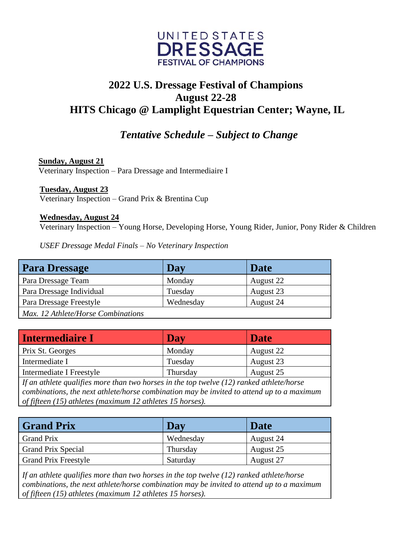

## **2022 U.S. Dressage Festival of Champions August 22-28 HITS Chicago @ Lamplight Equestrian Center; Wayne, IL**

## *Tentative Schedule – Subject to Change*

 **Sunday, August 21** Veterinary Inspection – Para Dressage and Intermediaire I

**Tuesday, August 23** Veterinary Inspection – Grand Prix & Brentina Cup

**Wednesday, August 24**

Veterinary Inspection – Young Horse, Developing Horse, Young Rider, Junior, Pony Rider & Children

*USEF Dressage Medal Finals – No Veterinary Inspection*

| <b>Para Dressage</b>               | Day       | <b>Date</b> |
|------------------------------------|-----------|-------------|
| Para Dressage Team                 | Monday    | August 22   |
| Para Dressage Individual           | Tuesday   | August 23   |
| Para Dressage Freestyle            | Wednesday | August 24   |
| Max. 12 Athlete/Horse Combinations |           |             |

| <b>Intermediaire I</b>                                                                     | Day      | <b>Date</b> |
|--------------------------------------------------------------------------------------------|----------|-------------|
| Prix St. Georges                                                                           | Monday   | August 22   |
| Intermediate I                                                                             | Tuesday  | August 23   |
| Intermediate I Freestyle                                                                   | Thursday | August 25   |
| If an athlete qualifies more than two horses in the top twelve $(12)$ ranked athlete/horse |          |             |
| combinations, the next athlete/horse combination may be invited to attend up to a maximum  |          |             |
| of fifteen (15) athletes (maximum 12 athletes 15 horses).                                  |          |             |

| <b>Grand Prix</b>           | Day       | Date      |
|-----------------------------|-----------|-----------|
| <b>Grand Prix</b>           | Wednesday | August 24 |
| <b>Grand Prix Special</b>   | Thursday  | August 25 |
| <b>Grand Prix Freestyle</b> | Saturday  | August 27 |

*If an athlete qualifies more than two horses in the top twelve (12) ranked athlete/horse combinations, the next athlete/horse combination may be invited to attend up to a maximum of fifteen (15) athletes (maximum 12 athletes 15 horses).*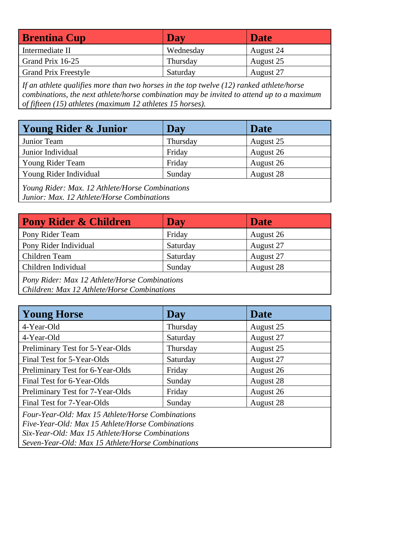| <b>Brentina Cup</b>         | Day       | <b>Date</b> |
|-----------------------------|-----------|-------------|
| Intermediate II             | Wednesday | August 24   |
| Grand Prix 16-25            | Thursday  | August 25   |
| <b>Grand Prix Freestyle</b> | Saturday  | August 27   |

*If an athlete qualifies more than two horses in the top twelve (12) ranked athlete/horse combinations, the next athlete/horse combination may be invited to attend up to a maximum of fifteen (15) athletes (maximum 12 athletes 15 horses).*

| <b>Young Rider &amp; Junior</b>                                                                                                                                                                                                                                                                                                                                     | <b>Day</b> | Date      |
|---------------------------------------------------------------------------------------------------------------------------------------------------------------------------------------------------------------------------------------------------------------------------------------------------------------------------------------------------------------------|------------|-----------|
| Junior Team                                                                                                                                                                                                                                                                                                                                                         | Thursday   | August 25 |
| Junior Individual                                                                                                                                                                                                                                                                                                                                                   | Friday     | August 26 |
| Young Rider Team                                                                                                                                                                                                                                                                                                                                                    | Friday     | August 26 |
| Young Rider Individual                                                                                                                                                                                                                                                                                                                                              | Sunday     | August 28 |
| $V_{\alpha}$ $D:$ $\lambda$ and $M_{\alpha}$ $D_{\alpha}$ $\lambda$ $\mu$ $\lambda$ $\mu$ $\lambda$ $\mu$ $\lambda$ $\mu$ $\lambda$ $\mu$ $\lambda$ $\mu$ $\lambda$ $\mu$ $\lambda$ $\mu$ $\lambda$ $\mu$ $\lambda$ $\mu$ $\lambda$ $\mu$ $\lambda$ $\mu$ $\lambda$ $\mu$ $\lambda$ $\mu$ $\lambda$ $\mu$ $\lambda$ $\mu$ $\lambda$ $\mu$ $\lambda$ $\mu$ $\lambda$ |            |           |

*Young Rider: Max. 12 Athlete/Horse Combinations Junior: Max. 12 Athlete/Horse Combinations*

| <b>Pony Rider &amp; Children</b>                                                             | Day      | <b>Date</b> |
|----------------------------------------------------------------------------------------------|----------|-------------|
| Pony Rider Team                                                                              | Friday   | August 26   |
| Pony Rider Individual                                                                        | Saturday | August 27   |
| Children Team                                                                                | Saturday | August 27   |
| Children Individual                                                                          | Sunday   | August 28   |
| Pony Rider: Max 12 Athlete/Horse Combinations<br>Children: Max 12 Athlete/Horse Combinations |          |             |

| <b>Young Horse</b>                                                                                                                                                                                           | Day      | Date      |
|--------------------------------------------------------------------------------------------------------------------------------------------------------------------------------------------------------------|----------|-----------|
| 4-Year-Old                                                                                                                                                                                                   | Thursday | August 25 |
| 4-Year-Old                                                                                                                                                                                                   | Saturday | August 27 |
| Preliminary Test for 5-Year-Olds                                                                                                                                                                             | Thursday | August 25 |
| Final Test for 5-Year-Olds                                                                                                                                                                                   | Saturday | August 27 |
| Preliminary Test for 6-Year-Olds                                                                                                                                                                             | Friday   | August 26 |
| Final Test for 6-Year-Olds                                                                                                                                                                                   | Sunday   | August 28 |
| Preliminary Test for 7-Year-Olds                                                                                                                                                                             | Friday   | August 26 |
| Final Test for 7-Year-Olds                                                                                                                                                                                   | Sunday   | August 28 |
| Four-Year-Old: Max 15 Athlete/Horse Combinations<br>Five-Year-Old: Max 15 Athlete/Horse Combinations<br>Six-Year-Old: Max 15 Athlete/Horse Combinations<br>Seven-Year-Old: Max 15 Athlete/Horse Combinations |          |           |